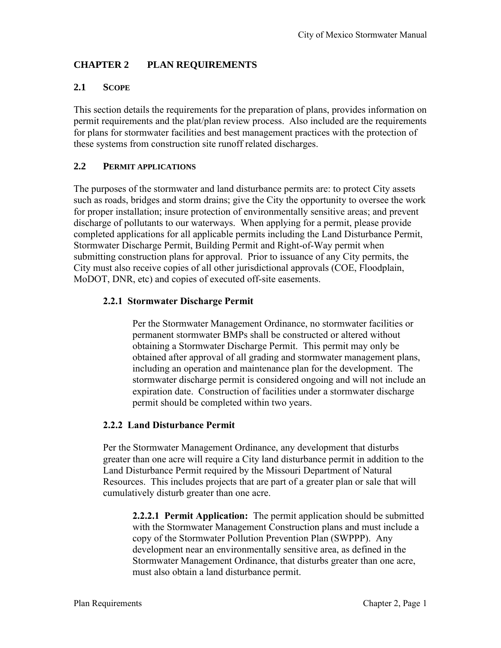# **CHAPTER 2 PLAN REQUIREMENTS**

## **2.1 SCOPE**

This section details the requirements for the preparation of plans, provides information on permit requirements and the plat/plan review process. Also included are the requirements for plans for stormwater facilities and best management practices with the protection of these systems from construction site runoff related discharges.

### **2.2 PERMIT APPLICATIONS**

The purposes of the stormwater and land disturbance permits are: to protect City assets such as roads, bridges and storm drains; give the City the opportunity to oversee the work for proper installation; insure protection of environmentally sensitive areas; and prevent discharge of pollutants to our waterways. When applying for a permit, please provide completed applications for all applicable permits including the Land Disturbance Permit, Stormwater Discharge Permit, Building Permit and Right-of-Way permit when submitting construction plans for approval. Prior to issuance of any City permits, the City must also receive copies of all other jurisdictional approvals (COE, Floodplain, MoDOT, DNR, etc) and copies of executed off-site easements.

## **2.2.1 Stormwater Discharge Permit**

Per the Stormwater Management Ordinance, no stormwater facilities or permanent stormwater BMPs shall be constructed or altered without obtaining a Stormwater Discharge Permit. This permit may only be obtained after approval of all grading and stormwater management plans, including an operation and maintenance plan for the development. The stormwater discharge permit is considered ongoing and will not include an expiration date. Construction of facilities under a stormwater discharge permit should be completed within two years.

### **2.2.2 Land Disturbance Permit**

Per the Stormwater Management Ordinance, any development that disturbs greater than one acre will require a City land disturbance permit in addition to the Land Disturbance Permit required by the Missouri Department of Natural Resources. This includes projects that are part of a greater plan or sale that will cumulatively disturb greater than one acre.

**2.2.2.1 Permit Application:** The permit application should be submitted with the Stormwater Management Construction plans and must include a copy of the Stormwater Pollution Prevention Plan (SWPPP). Any development near an environmentally sensitive area, as defined in the Stormwater Management Ordinance, that disturbs greater than one acre, must also obtain a land disturbance permit.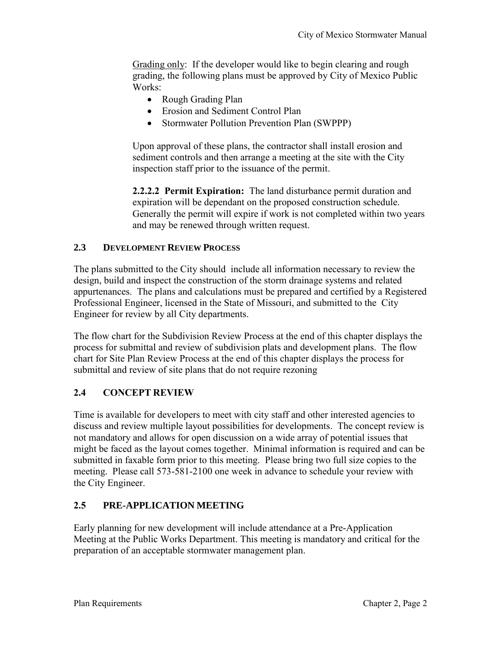Grading only: If the developer would like to begin clearing and rough grading, the following plans must be approved by City of Mexico Public Works:

- Rough Grading Plan
- Erosion and Sediment Control Plan
- Stormwater Pollution Prevention Plan (SWPPP)

Upon approval of these plans, the contractor shall install erosion and sediment controls and then arrange a meeting at the site with the City inspection staff prior to the issuance of the permit.

**2.2.2.2 Permit Expiration:** The land disturbance permit duration and expiration will be dependant on the proposed construction schedule. Generally the permit will expire if work is not completed within two years and may be renewed through written request.

#### **2.3 DEVELOPMENT REVIEW PROCESS**

The plans submitted to the City should include all information necessary to review the design, build and inspect the construction of the storm drainage systems and related appurtenances. The plans and calculations must be prepared and certified by a Registered Professional Engineer, licensed in the State of Missouri, and submitted to the City Engineer for review by all City departments.

The flow chart for the Subdivision Review Process at the end of this chapter displays the process for submittal and review of subdivision plats and development plans. The flow chart for Site Plan Review Process at the end of this chapter displays the process for submittal and review of site plans that do not require rezoning

### **2.4 CONCEPT REVIEW**

Time is available for developers to meet with city staff and other interested agencies to discuss and review multiple layout possibilities for developments. The concept review is not mandatory and allows for open discussion on a wide array of potential issues that might be faced as the layout comes together. Minimal information is required and can be submitted in faxable form prior to this meeting. Please bring two full size copies to the meeting. Please call 573-581-2100 one week in advance to schedule your review with the City Engineer.

### **2.5 PRE-APPLICATION MEETING**

Early planning for new development will include attendance at a Pre-Application Meeting at the Public Works Department. This meeting is mandatory and critical for the preparation of an acceptable stormwater management plan.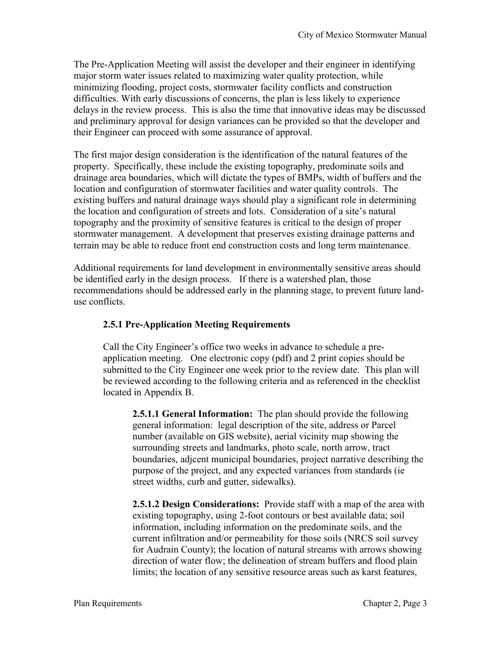The Pre-Application Meeting will assist the developer and their engineer in identifying major storm water issues related to maximizing water quality protection, while minimizing flooding, project costs, stormwater facility conflicts and construction difficulties. With early discussions of concerns, the plan is less likely to experience delays in the review process. This is also the time that innovative ideas may be discussed and preliminary approval for design variances can be provided so that the developer and their Engineer can proceed with some assurance of approval.

The first major design consideration is the identification of the natural features of the property. Specifically, these include the existing topography, predominate soils and drainage area boundaries, which will dictate the types of BMPs, width of buffers and the location and configuration of stormwater facilities and water quality controls. The existing buffers and natural drainage ways should play a significant role in determining the location and configuration of streets and lots. Consideration of a site's natural topography and the proximity of sensitive features is critical to the design of proper stormwater management. A development that preserves existing drainage patterns and terrain may be able to reduce front end construction costs and long term maintenance.

Additional requirements for land development in environmentally sensitive areas should be identified early in the design process. If there is a watershed plan, those recommendations should be addressed early in the planning stage, to prevent future landuse conflicts.

# **2.5.1 Pre-Application Meeting Requirements**

Call the City Engineer's office two weeks in advance to schedule a preapplication meeting. One electronic copy (pdf) and 2 print copies should be submitted to the City Engineer one week prior to the review date. This plan will be reviewed according to the following criteria and as referenced in the checklist located in Appendix B.

**2.5.1.1 General Information:** The plan should provide the following general information: legal description of the site, address or Parcel number (available on GIS website), aerial vicinity map showing the surrounding streets and landmarks, photo scale, north arrow, tract boundaries, adjcent municipal boundaries, project narrative describing the purpose of the project, and any expected variances from standards (ie street widths, curb and gutter, sidewalks).

**2.5.1.2 Design Considerations:** Provide staff with a map of the area with existing topography, using 2-foot contours or best available data; soil information, including information on the predominate soils, and the current infiltration and/or permeability for those soils (NRCS soil survey for Audrain County); the location of natural streams with arrows showing direction of water flow; the delineation of stream buffers and flood plain limits; the location of any sensitive resource areas such as karst features,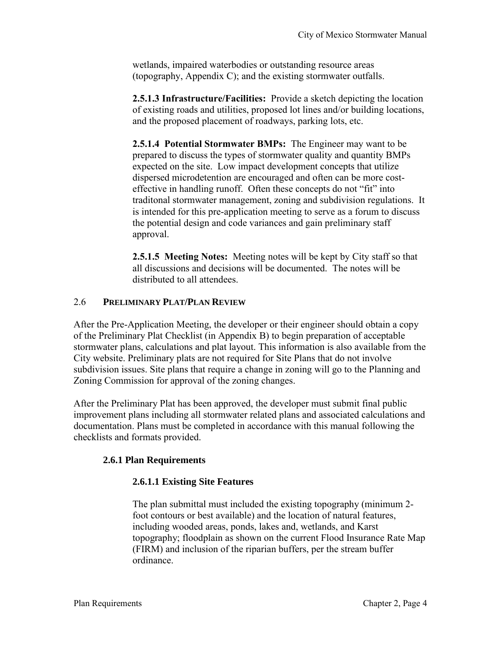wetlands, impaired waterbodies or outstanding resource areas (topography, Appendix C); and the existing stormwater outfalls.

**2.5.1.3 Infrastructure/Facilities:** Provide a sketch depicting the location of existing roads and utilities, proposed lot lines and/or building locations, and the proposed placement of roadways, parking lots, etc.

**2.5.1.4 Potential Stormwater BMPs:** The Engineer may want to be prepared to discuss the types of stormwater quality and quantity BMPs expected on the site. Low impact development concepts that utilize dispersed microdetention are encouraged and often can be more costeffective in handling runoff. Often these concepts do not "fit" into traditonal stormwater management, zoning and subdivision regulations. It is intended for this pre-application meeting to serve as a forum to discuss the potential design and code variances and gain preliminary staff approval.

**2.5.1.5 Meeting Notes:** Meeting notes will be kept by City staff so that all discussions and decisions will be documented. The notes will be distributed to all attendees.

#### 2.6 **PRELIMINARY PLAT/PLAN REVIEW**

After the Pre-Application Meeting, the developer or their engineer should obtain a copy of the Preliminary Plat Checklist (in Appendix B) to begin preparation of acceptable stormwater plans, calculations and plat layout. This information is also available from the City website. Preliminary plats are not required for Site Plans that do not involve subdivision issues. Site plans that require a change in zoning will go to the Planning and Zoning Commission for approval of the zoning changes.

After the Preliminary Plat has been approved, the developer must submit final public improvement plans including all stormwater related plans and associated calculations and documentation. Plans must be completed in accordance with this manual following the checklists and formats provided.

### **2.6.1 Plan Requirements**

### **2.6.1.1 Existing Site Features**

The plan submittal must included the existing topography (minimum 2 foot contours or best available) and the location of natural features, including wooded areas, ponds, lakes and, wetlands, and Karst topography; floodplain as shown on the current Flood Insurance Rate Map (FIRM) and inclusion of the riparian buffers, per the stream buffer ordinance.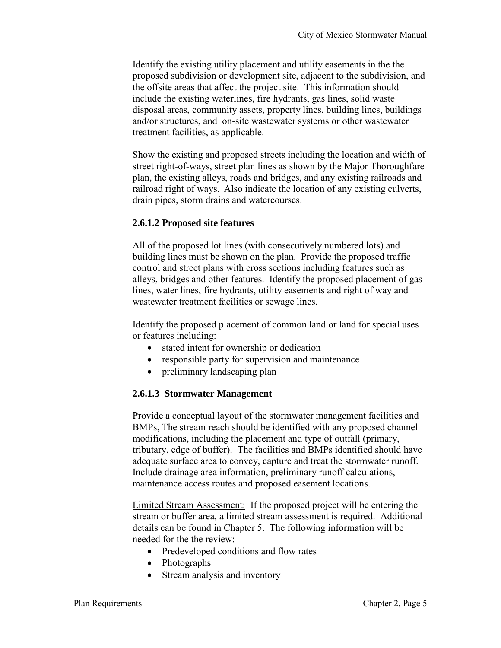Identify the existing utility placement and utility easements in the the proposed subdivision or development site, adjacent to the subdivision, and the offsite areas that affect the project site. This information should include the existing waterlines, fire hydrants, gas lines, solid waste disposal areas, community assets, property lines, building lines, buildings and/or structures, and on-site wastewater systems or other wastewater treatment facilities, as applicable.

Show the existing and proposed streets including the location and width of street right-of-ways, street plan lines as shown by the Major Thoroughfare plan, the existing alleys, roads and bridges, and any existing railroads and railroad right of ways. Also indicate the location of any existing culverts, drain pipes, storm drains and watercourses.

#### **2.6.1.2 Proposed site features**

All of the proposed lot lines (with consecutively numbered lots) and building lines must be shown on the plan. Provide the proposed traffic control and street plans with cross sections including features such as alleys, bridges and other features. Identify the proposed placement of gas lines, water lines, fire hydrants, utility easements and right of way and wastewater treatment facilities or sewage lines.

Identify the proposed placement of common land or land for special uses or features including:

- stated intent for ownership or dedication
- responsible party for supervision and maintenance
- preliminary landscaping plan

### **2.6.1.3 Stormwater Management**

Provide a conceptual layout of the stormwater management facilities and BMPs, The stream reach should be identified with any proposed channel modifications, including the placement and type of outfall (primary, tributary, edge of buffer). The facilities and BMPs identified should have adequate surface area to convey, capture and treat the stormwater runoff. Include drainage area information, preliminary runoff calculations, maintenance access routes and proposed easement locations.

Limited Stream Assessment: If the proposed project will be entering the stream or buffer area, a limited stream assessment is required. Additional details can be found in Chapter 5. The following information will be needed for the the review:

- Predeveloped conditions and flow rates
- Photographs
- Stream analysis and inventory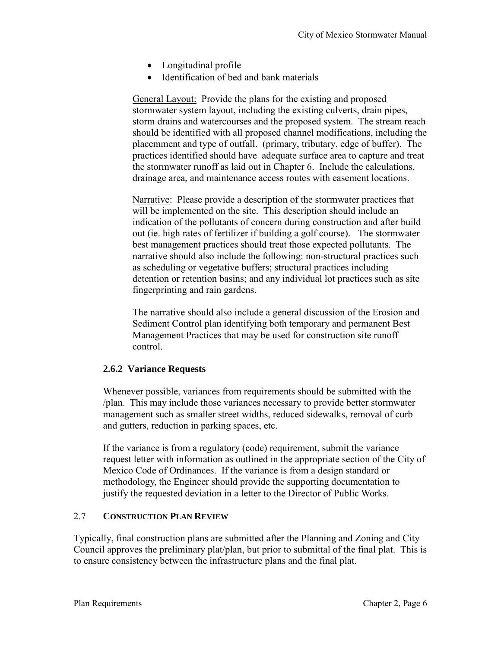- Longitudinal profile
- Identification of bed and bank materials

General Layout: Provide the plans for the existing and proposed stormwater system layout, including the existing culverts, drain pipes, storm drains and watercourses and the proposed system. The stream reach should be identified with all proposed channel modifications, including the placemment and type of outfall. (primary, tributary, edge of buffer). The practices identified should have adequate surface area to capture and treat the stormwater runoff as laid out in Chapter 6. Include the calculations, drainage area, and maintenance access routes with easement locations.

Narrative: Please provide a description of the stormwater practices that will be implemented on the site. This description should include an indication of the pollutants of concern during construction and after build out (ie. high rates of fertilizer if building a golf course). The stormwater best management practices should treat those expected pollutants. The narrative should also include the following: non-structural practices such as scheduling or vegetative buffers; structural practices including detention or retention basins; and any individual lot practices such as site fingerprinting and rain gardens.

The narrative should also include a general discussion of the Erosion and Sediment Control plan identifying both temporary and permanent Best Management Practices that may be used for construction site runoff control.

#### **2.6.2 Variance Requests**

Whenever possible, variances from requirements should be submitted with the /plan. This may include those variances necessary to provide better stormwater management such as smaller street widths, reduced sidewalks, removal of curb and gutters, reduction in parking spaces, etc.

If the variance is from a regulatory (code) requirement, submit the variance request letter with information as outlined in the appropriate section of the City of Mexico Code of Ordinances. If the variance is from a design standard or methodology, the Engineer should provide the supporting documentation to justify the requested deviation in a letter to the Director of Public Works.

#### 2.7 **CONSTRUCTION PLAN REVIEW**

Typically, final construction plans are submitted after the Planning and Zoning and City Council approves the preliminary plat/plan, but prior to submittal of the final plat. This is to ensure consistency between the infrastructure plans and the final plat.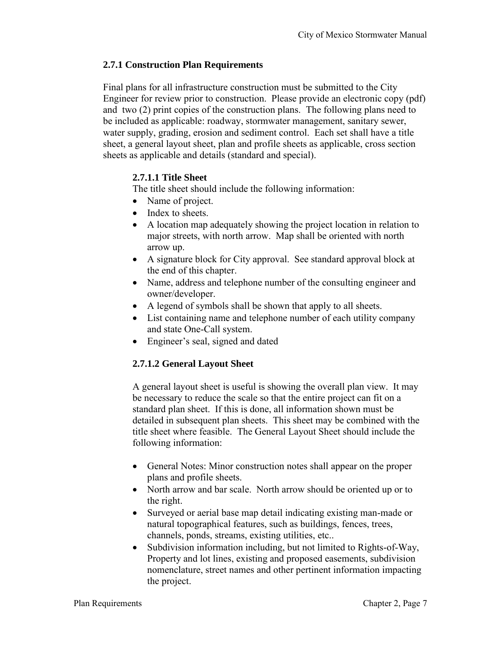## **2.7.1 Construction Plan Requirements**

Final plans for all infrastructure construction must be submitted to the City Engineer for review prior to construction. Please provide an electronic copy (pdf) and two (2) print copies of the construction plans. The following plans need to be included as applicable: roadway, stormwater management, sanitary sewer, water supply, grading, erosion and sediment control. Each set shall have a title sheet, a general layout sheet, plan and profile sheets as applicable, cross section sheets as applicable and details (standard and special).

## **2.7.1.1 Title Sheet**

The title sheet should include the following information:

- Name of project.
- Index to sheets.
- A location map adequately showing the project location in relation to major streets, with north arrow. Map shall be oriented with north arrow up.
- A signature block for City approval. See standard approval block at the end of this chapter.
- Name, address and telephone number of the consulting engineer and owner/developer.
- A legend of symbols shall be shown that apply to all sheets.
- List containing name and telephone number of each utility company and state One-Call system.
- Engineer's seal, signed and dated

# **2.7.1.2 General Layout Sheet**

A general layout sheet is useful is showing the overall plan view. It may be necessary to reduce the scale so that the entire project can fit on a standard plan sheet. If this is done, all information shown must be detailed in subsequent plan sheets. This sheet may be combined with the title sheet where feasible. The General Layout Sheet should include the following information:

- General Notes: Minor construction notes shall appear on the proper plans and profile sheets.
- North arrow and bar scale. North arrow should be oriented up or to the right.
- Surveyed or aerial base map detail indicating existing man-made or natural topographical features, such as buildings, fences, trees, channels, ponds, streams, existing utilities, etc..
- Subdivision information including, but not limited to Rights-of-Way, Property and lot lines, existing and proposed easements, subdivision nomenclature, street names and other pertinent information impacting the project.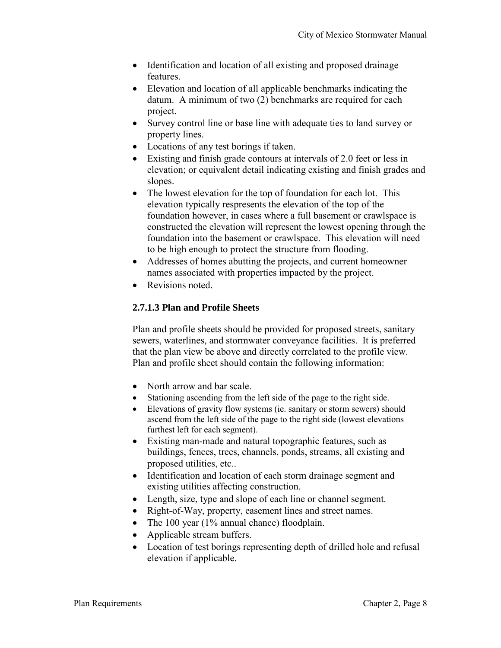- Identification and location of all existing and proposed drainage features.
- Elevation and location of all applicable benchmarks indicating the datum. A minimum of two (2) benchmarks are required for each project.
- Survey control line or base line with adequate ties to land survey or property lines.
- Locations of any test borings if taken.
- Existing and finish grade contours at intervals of 2.0 feet or less in elevation; or equivalent detail indicating existing and finish grades and slopes.
- The lowest elevation for the top of foundation for each lot. This elevation typically respresents the elevation of the top of the foundation however, in cases where a full basement or crawlspace is constructed the elevation will represent the lowest opening through the foundation into the basement or crawlspace. This elevation will need to be high enough to protect the structure from flooding.
- Addresses of homes abutting the projects, and current homeowner names associated with properties impacted by the project.
- Revisions noted.

## **2.7.1.3 Plan and Profile Sheets**

Plan and profile sheets should be provided for proposed streets, sanitary sewers, waterlines, and stormwater conveyance facilities. It is preferred that the plan view be above and directly correlated to the profile view. Plan and profile sheet should contain the following information:

- North arrow and bar scale.
- Stationing ascending from the left side of the page to the right side.
- Elevations of gravity flow systems (ie. sanitary or storm sewers) should ascend from the left side of the page to the right side (lowest elevations furthest left for each segment).
- Existing man-made and natural topographic features, such as buildings, fences, trees, channels, ponds, streams, all existing and proposed utilities, etc..
- Identification and location of each storm drainage segment and existing utilities affecting construction.
- Length, size, type and slope of each line or channel segment.
- Right-of-Way, property, easement lines and street names.
- The 100 year (1% annual chance) floodplain.
- Applicable stream buffers.
- Location of test borings representing depth of drilled hole and refusal elevation if applicable.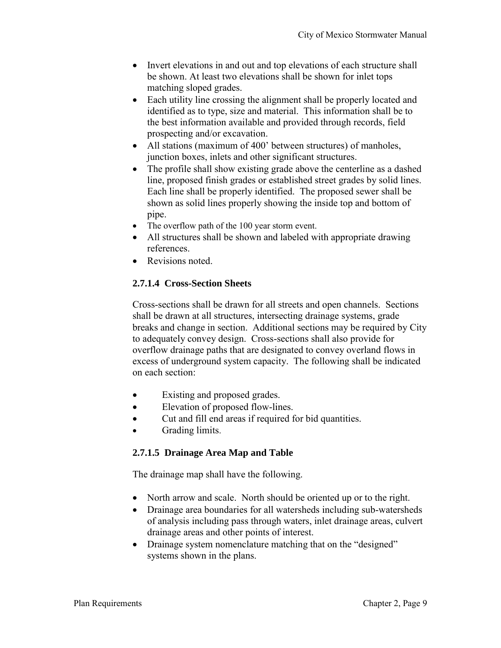- Invert elevations in and out and top elevations of each structure shall be shown. At least two elevations shall be shown for inlet tops matching sloped grades.
- Each utility line crossing the alignment shall be properly located and identified as to type, size and material. This information shall be to the best information available and provided through records, field prospecting and/or excavation.
- All stations (maximum of 400' between structures) of manholes, junction boxes, inlets and other significant structures.
- The profile shall show existing grade above the centerline as a dashed line, proposed finish grades or established street grades by solid lines. Each line shall be properly identified. The proposed sewer shall be shown as solid lines properly showing the inside top and bottom of pipe.
- The overflow path of the 100 year storm event.
- All structures shall be shown and labeled with appropriate drawing references.
- Revisions noted.

## **2.7.1.4 Cross-Section Sheets**

Cross-sections shall be drawn for all streets and open channels. Sections shall be drawn at all structures, intersecting drainage systems, grade breaks and change in section. Additional sections may be required by City to adequately convey design. Cross-sections shall also provide for overflow drainage paths that are designated to convey overland flows in excess of underground system capacity. The following shall be indicated on each section:

- Existing and proposed grades.
- Elevation of proposed flow-lines.
- Cut and fill end areas if required for bid quantities.
- Grading limits.

# **2.7.1.5 Drainage Area Map and Table**

The drainage map shall have the following.

- North arrow and scale. North should be oriented up or to the right.
- Drainage area boundaries for all watersheds including sub-watersheds of analysis including pass through waters, inlet drainage areas, culvert drainage areas and other points of interest.
- Drainage system nomenclature matching that on the "designed" systems shown in the plans.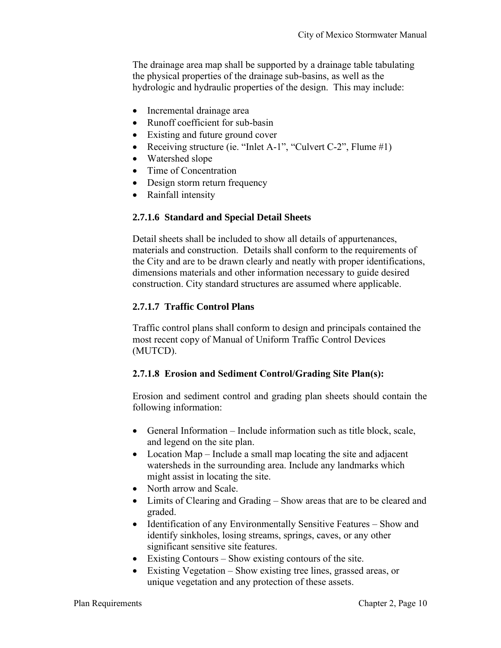The drainage area map shall be supported by a drainage table tabulating the physical properties of the drainage sub-basins, as well as the hydrologic and hydraulic properties of the design. This may include:

- Incremental drainage area
- Runoff coefficient for sub-basin
- Existing and future ground cover
- Receiving structure (ie. "Inlet A-1", "Culvert C-2", Flume #1)
- Watershed slope
- Time of Concentration
- Design storm return frequency
- Rainfall intensity

### **2.7.1.6 Standard and Special Detail Sheets**

Detail sheets shall be included to show all details of appurtenances, materials and construction. Details shall conform to the requirements of the City and are to be drawn clearly and neatly with proper identifications, dimensions materials and other information necessary to guide desired construction. City standard structures are assumed where applicable.

## **2.7.1.7 Traffic Control Plans**

Traffic control plans shall conform to design and principals contained the most recent copy of Manual of Uniform Traffic Control Devices (MUTCD).

### **2.7.1.8 Erosion and Sediment Control/Grading Site Plan(s):**

Erosion and sediment control and grading plan sheets should contain the following information:

- General Information Include information such as title block, scale, and legend on the site plan.
- Location Map Include a small map locating the site and adjacent watersheds in the surrounding area. Include any landmarks which might assist in locating the site.
- North arrow and Scale.
- Limits of Clearing and Grading Show areas that are to be cleared and graded.
- Identification of any Environmentally Sensitive Features Show and identify sinkholes, losing streams, springs, caves, or any other significant sensitive site features.
- Existing Contours Show existing contours of the site.
- Existing Vegetation Show existing tree lines, grassed areas, or unique vegetation and any protection of these assets.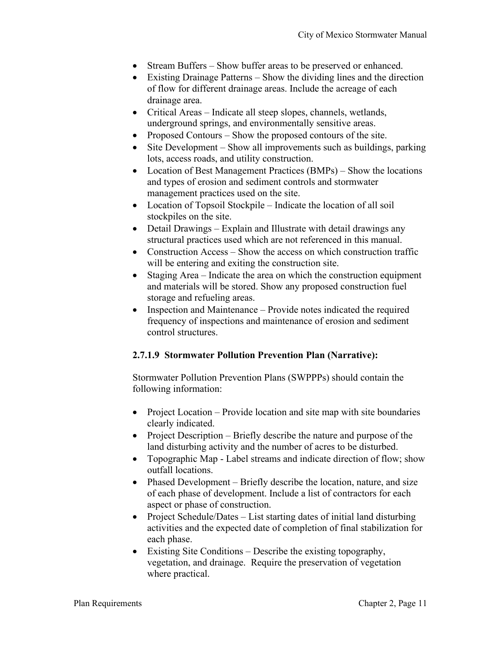- Stream Buffers Show buffer areas to be preserved or enhanced.
- Existing Drainage Patterns Show the dividing lines and the direction of flow for different drainage areas. Include the acreage of each drainage area.
- Critical Areas Indicate all steep slopes, channels, wetlands, underground springs, and environmentally sensitive areas.
- Proposed Contours Show the proposed contours of the site.
- $\bullet$  Site Development Show all improvements such as buildings, parking lots, access roads, and utility construction.
- Location of Best Management Practices (BMPs) Show the locations and types of erosion and sediment controls and stormwater management practices used on the site.
- Location of Topsoil Stockpile Indicate the location of all soil stockpiles on the site.
- Detail Drawings Explain and Illustrate with detail drawings any structural practices used which are not referenced in this manual.
- Construction Access Show the access on which construction traffic will be entering and exiting the construction site.
- Staging Area Indicate the area on which the construction equipment and materials will be stored. Show any proposed construction fuel storage and refueling areas.
- Inspection and Maintenance Provide notes indicated the required frequency of inspections and maintenance of erosion and sediment control structures.

# **2.7.1.9 Stormwater Pollution Prevention Plan (Narrative):**

Stormwater Pollution Prevention Plans (SWPPPs) should contain the following information:

- Project Location Provide location and site map with site boundaries clearly indicated.
- Project Description Briefly describe the nature and purpose of the land disturbing activity and the number of acres to be disturbed.
- Topographic Map Label streams and indicate direction of flow; show outfall locations.
- Phased Development Briefly describe the location, nature, and size of each phase of development. Include a list of contractors for each aspect or phase of construction.
- Project Schedule/Dates List starting dates of initial land disturbing activities and the expected date of completion of final stabilization for each phase.
- Existing Site Conditions Describe the existing topography, vegetation, and drainage. Require the preservation of vegetation where practical.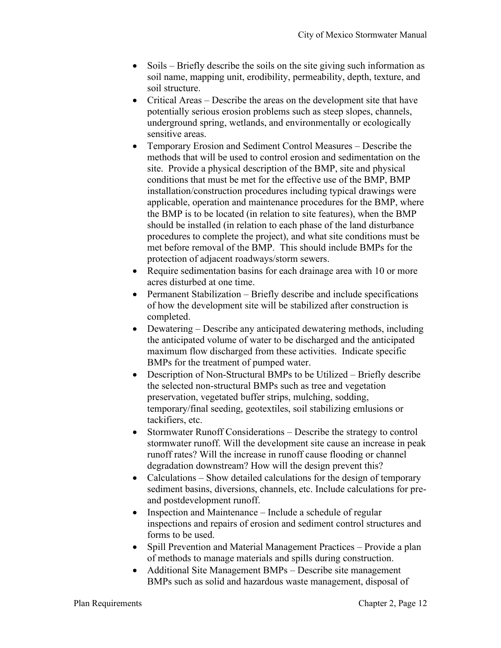- Soils Briefly describe the soils on the site giving such information as soil name, mapping unit, erodibility, permeability, depth, texture, and soil structure.
- Critical Areas Describe the areas on the development site that have potentially serious erosion problems such as steep slopes, channels, underground spring, wetlands, and environmentally or ecologically sensitive areas.
- Temporary Erosion and Sediment Control Measures Describe the methods that will be used to control erosion and sedimentation on the site. Provide a physical description of the BMP, site and physical conditions that must be met for the effective use of the BMP, BMP installation/construction procedures including typical drawings were applicable, operation and maintenance procedures for the BMP, where the BMP is to be located (in relation to site features), when the BMP should be installed (in relation to each phase of the land disturbance procedures to complete the project), and what site conditions must be met before removal of the BMP. This should include BMPs for the protection of adjacent roadways/storm sewers.
- Require sedimentation basins for each drainage area with 10 or more acres disturbed at one time.
- Permanent Stabilization Briefly describe and include specifications of how the development site will be stabilized after construction is completed.
- Dewatering Describe any anticipated dewatering methods, including the anticipated volume of water to be discharged and the anticipated maximum flow discharged from these activities. Indicate specific BMPs for the treatment of pumped water.
- Description of Non-Structural BMPs to be Utilized Briefly describe the selected non-structural BMPs such as tree and vegetation preservation, vegetated buffer strips, mulching, sodding, temporary/final seeding, geotextiles, soil stabilizing emlusions or tackifiers, etc.
- Stormwater Runoff Considerations Describe the strategy to control stormwater runoff. Will the development site cause an increase in peak runoff rates? Will the increase in runoff cause flooding or channel degradation downstream? How will the design prevent this?
- Calculations Show detailed calculations for the design of temporary sediment basins, diversions, channels, etc. Include calculations for preand postdevelopment runoff.
- Inspection and Maintenance Include a schedule of regular inspections and repairs of erosion and sediment control structures and forms to be used.
- Spill Prevention and Material Management Practices Provide a plan of methods to manage materials and spills during construction.
- Additional Site Management BMPs Describe site management BMPs such as solid and hazardous waste management, disposal of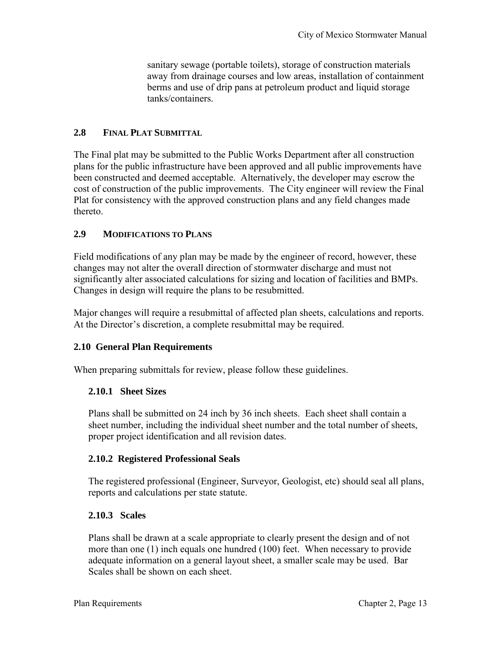sanitary sewage (portable toilets), storage of construction materials away from drainage courses and low areas, installation of containment berms and use of drip pans at petroleum product and liquid storage tanks/containers.

### **2.8 FINAL PLAT SUBMITTAL**

The Final plat may be submitted to the Public Works Department after all construction plans for the public infrastructure have been approved and all public improvements have been constructed and deemed acceptable. Alternatively, the developer may escrow the cost of construction of the public improvements. The City engineer will review the Final Plat for consistency with the approved construction plans and any field changes made thereto.

## **2.9 MODIFICATIONS TO PLANS**

Field modifications of any plan may be made by the engineer of record, however, these changes may not alter the overall direction of stormwater discharge and must not significantly alter associated calculations for sizing and location of facilities and BMPs. Changes in design will require the plans to be resubmitted.

Major changes will require a resubmittal of affected plan sheets, calculations and reports. At the Director's discretion, a complete resubmittal may be required.

# **2.10 General Plan Requirements**

When preparing submittals for review, please follow these guidelines.

### **2.10.1 Sheet Sizes**

Plans shall be submitted on 24 inch by 36 inch sheets.Each sheet shall contain a sheet number, including the individual sheet number and the total number of sheets, proper project identification and all revision dates.

### **2.10.2 Registered Professional Seals**

The registered professional (Engineer, Surveyor, Geologist, etc) should seal all plans, reports and calculations per state statute.

### **2.10.3 Scales**

Plans shall be drawn at a scale appropriate to clearly present the design and of not more than one (1) inch equals one hundred (100) feet.When necessary to provide adequate information on a general layout sheet, a smaller scale may be used.Bar Scales shall be shown on each sheet.